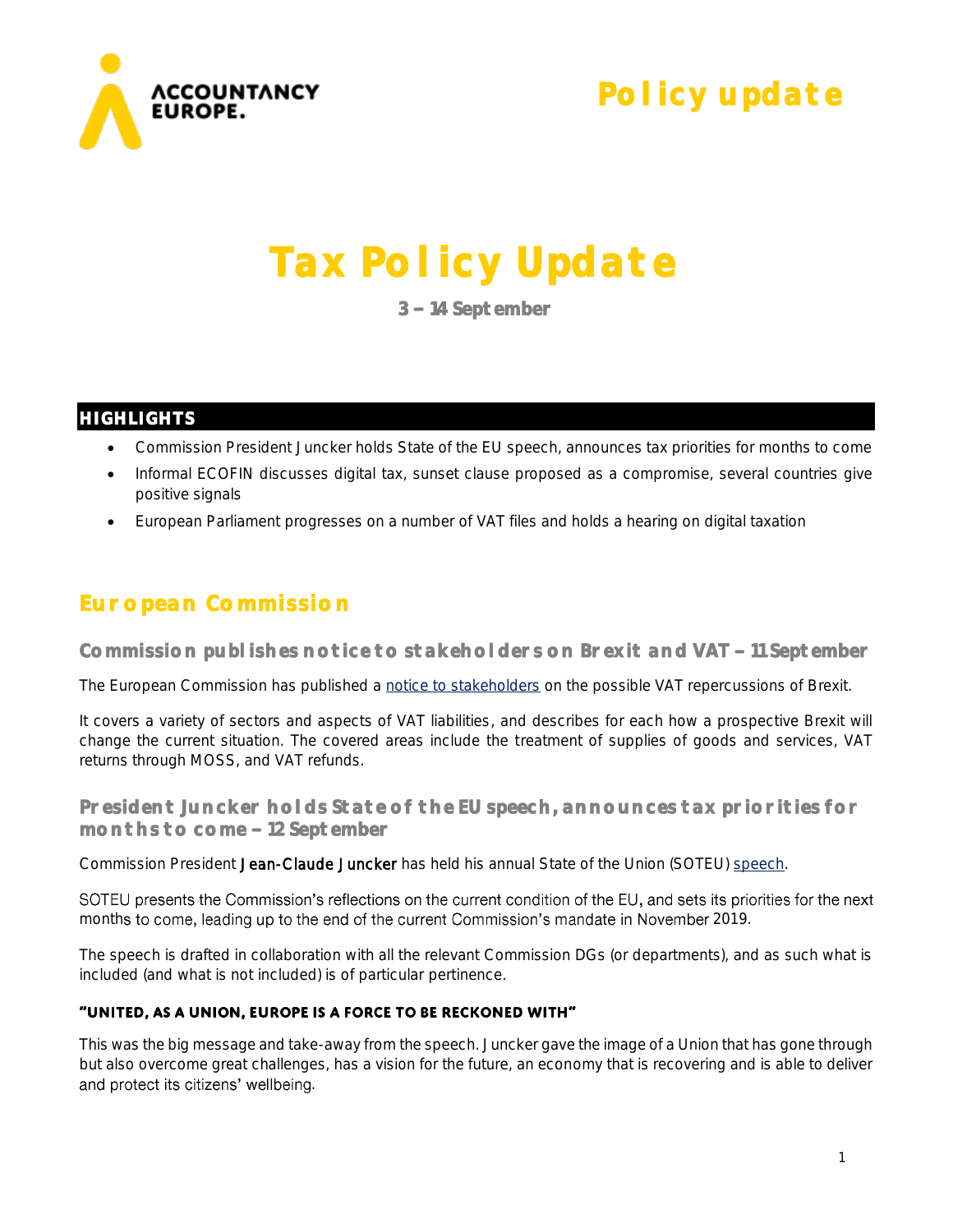

**Policy update** 

# **Tax Policy Update**

**3 14 September** 

#### **HIGHLIGHTS**

- Commission President Juncker holds State of the EU speech, announces tax priorities for months to come
- Informal ECOFIN discusses digital tax, sunset clause proposed as a compromise, several countries give positive signals
- European Parliament progresses on a number of VAT files and holds a hearing on digital taxation

## **European Commission**

Commission publishes notice to stakeholders on Brexit and VAT - 11 September

The European Commission has published a [notice to stakeholders](https://ec.europa.eu/taxation_customs/sites/taxation/files/notice_to_stakeholders_on_the_withdrawal_of_the_united_kingdom_and_eu_rules_in_the_field_of_value_added_tax_en.pdf) on the possible VAT repercussions of Brexit.

It covers a variety of sectors and aspects of VAT liabilities, and describes for each how a prospective Brexit will change the current situation. The covered areas include the treatment of supplies of goods and services, VAT returns through MOSS, and VAT refunds.

**President Juncker holds State of the EU speech, announces tax priorities for months to come 12 September** 

Commission President Jean-Claude Juncker has held his annual State of the Union (SOTEU) [speech.](https://ec.europa.eu/commission/sites/beta-political/files/soteu2018-speech_en.pdf)

SOTEU presents the Commission's reflections on the current condition of the EU, and sets its priorities for the next months to come, leading up to the end of the current Commission's mandate in November 2019.

The speech is drafted in collaboration with all the relevant Commission DGs (or departments), and as such what is included (and what is not included) is of particular pertinence.

#### "UNITED, AS A UNION, EUROPE IS A FORCE TO BE RECKONED WITH"

This was the big message and take-away from the speech. Juncker gave the image of a Union that has gone through but also overcome great challenges, has a vision for the future, an economy that is recovering and is able to deliver and protect its citizens' wellbeing.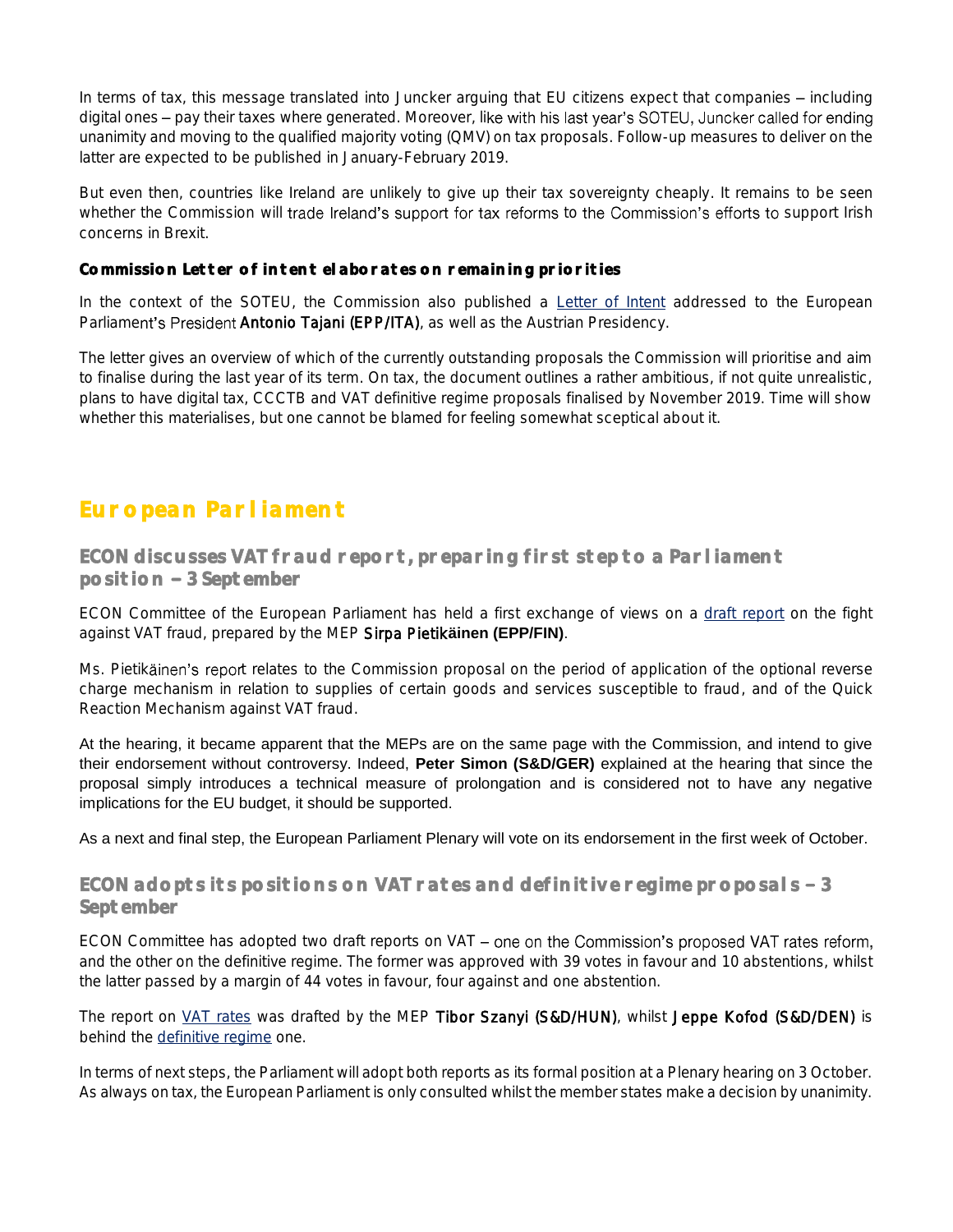In terms of tax, this message translated into Juncker arguing that EU citizens expect that companies – including digital ones - pay their taxes where generated. Moreover, like with his last year's SOTEU, Juncker called for ending unanimity and moving to the qualified majority voting (QMV) on tax proposals. Follow-up measures to deliver on the latter are expected to be published in January-February 2019.

But even then, countries like Ireland are unlikely to give up their tax sovereignty cheaply. It remains to be seen whether the Commission will trade Ireland's support for tax reforms to the Commission's efforts to support Irish concerns in Brexit.

#### **Commission Letter of intent elaborates on remaining priorities**

In the context of the SOTEU, the Commission also published a [Letter of Intent](https://ec.europa.eu/commission/sites/beta-political/files/soteu2018-letter-of-intent_en.pdf) addressed to the European Parliament's President Antonio Tajani (EPP/ITA), as well as the Austrian Presidency.

The letter gives an overview of which of the currently outstanding proposals the Commission will prioritise and aim to finalise during the last year of its term. On tax, the document outlines a rather ambitious, if not quite unrealistic, plans to have digital tax, CCCTB and VAT definitive regime proposals finalised by November 2019. Time will show whether this materialises, but one cannot be blamed for feeling somewhat sceptical about it.

### **European Parliament**

**ECON discusses VAT fraud report, preparing first step to a Parliament position 3 September** 

ECON Committee of the European Parliament has held a first exchange of views on a [draft report](http://www.europarl.europa.eu/sides/getDoc.do?pubRef=-//EP//NONSGML+COMPARL+PE-625.397+01+DOC+PDF+V0//EN&language=EN) on the fight against VAT fraud, prepared by the MEP Sirpa Pietik**äinen (EPP/FIN)**.

Ms. Pietikäinen's report relates to the Commission proposal on the period of application of the optional reverse charge mechanism in relation to supplies of certain goods and services susceptible to fraud, and of the Quick Reaction Mechanism against VAT fraud.

At the hearing, it became apparent that the MEPs are on the same page with the Commission, and intend to give their endorsement without controversy. Indeed, **Peter Simon (S&D/GER)** explained at the hearing that since the proposal simply introduces a technical measure of prolongation and is considered not to have any negative implications for the EU budget, it should be supported.

As a next and final step, the European Parliament Plenary will vote on its endorsement in the first week of October.

#### ECON adopts its positions on VAT rates and definitive regime proposals - 3 **September**

ECON Committee has adopted two draft reports on  $VAT$  – one on the Commission's proposed VAT rates reform, and the other on the definitive regime. The former was approved with 39 votes in favour and 10 abstentions, whilst the latter passed by a margin of 44 votes in favour, four against and one abstention.

The report on [VAT rates](http://www.europarl.europa.eu/sides/getDoc.do?pubRef=-//EP//NONSGML+COMPARL+PE-621.118+01+DOC+PDF+V0//EN&language=EN) was drafted by the MEP Tibor Szanyi (S&D/HUN), whilst Jeppe Kofod (S&D/DEN) is behind the [definitive regime](http://www.europarl.europa.eu/sides/getDoc.do?pubRef=-//EP//NONSGML+COMPARL+PE-621.119+01+DOC+PDF+V0//EN&language=EN) one.

In terms of next steps, the Parliament will adopt both reports as its formal position at a Plenary hearing on 3 October. As always on tax, the European Parliament is only consulted whilst the member states make a decision by unanimity.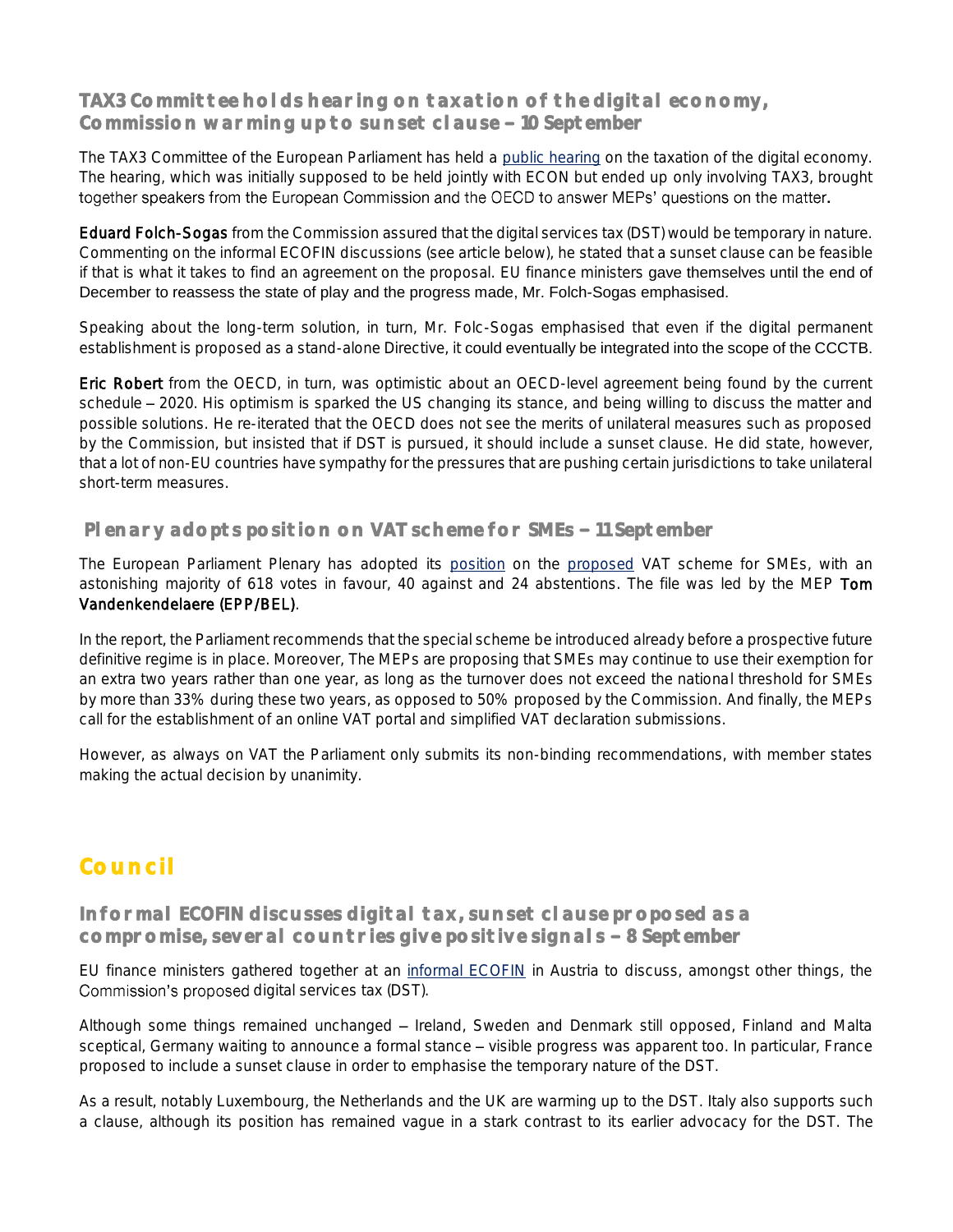#### **TAX3 Committee holds hearing on taxation of the digital economy, Commission warming up to sunset clause 10 September**

The TAX3 Committee of the European Parliament has held a [public hearing](http://www.europarl.europa.eu/cmsdata/152640/Draft%20programme_Digital%20Taxation_10%20Sept%202018.pdf) on the taxation of the digital economy. The hearing, which was initially supposed to be held jointly with ECON but ended up only involving TAX3, brought together speakers from the European Commission and the OECD to answer MEPs' questions on the matter.

Eduard Folch-Sogas from the Commission assured that the digital services tax (DST) would be temporary in nature. Commenting on the informal ECOFIN discussions (see article below), he stated that a sunset clause can be feasible if that is what it takes to find an agreement on the proposal. EU finance ministers gave themselves until the end of December to reassess the state of play and the progress made, Mr. Folch-Sogas emphasised.

Speaking about the long-term solution, in turn, Mr. Folc-Sogas emphasised that even if the digital permanent establishment is proposed as a stand-alone Directive, it could eventually be integrated into the scope of the CCCTB.

Eric Robert from the OECD, in turn, was optimistic about an OECD-level agreement being found by the current schedule - 2020. His optimism is sparked the US changing its stance, and being willing to discuss the matter and possible solutions. He re-iterated that the OECD does not see the merits of unilateral measures such as proposed by the Commission, but insisted that if DST is pursued, it should include a sunset clause. He did state, however, that a lot of non-EU countries have sympathy for the pressures that are pushing certain jurisdictions to take unilateral short-term measures.

#### **Plenary adopts position on VAT scheme for SMEs - 11 September**

The European Parliament Plenary has adopted its [position](http://www.europarl.europa.eu/sides/getDoc.do?type=TA&language=EN&reference=P8-TA-2018-0319) on the [proposed](http://www.europarl.europa.eu/RegData/docs_autres_institutions/commission_europeenne/com/2018/0021/COM_COM(2018)0021_EN.pdf) VAT scheme for SMEs, with an astonishing majority of 618 votes in favour, 40 against and 24 abstentions. The file was led by the MEP Tom Vandenkendelaere (EPP/BEL).

In the report, the Parliament recommends that the special scheme be introduced already before a prospective future definitive regime is in place. Moreover, The MEPs are proposing that SMEs may continue to use their exemption for an extra two years rather than one year, as long as the turnover does not exceed the national threshold for SMEs by more than 33% during these two years, as opposed to 50% proposed by the Commission. And finally, the MEPs call for the establishment of an online VAT portal and simplified VAT declaration submissions.

However, as always on VAT the Parliament only submits its non-binding recommendations, with member states making the actual decision by unanimity.

# **Council**

**Informal ECOFIN discusses digital tax, sunset clause proposed as a**  compromise, several countries give positive signals - 8 September

EU finance ministers gathered together at an [informal ECOFIN](https://www.eu2018.at/latest-news/news/09-08-Press-release-Informal-ECOFIN-day-2.html) in Austria to discuss, amongst other things, the Commission's proposed digital services tax (DST).

Although some things remained unchanged - Ireland, Sweden and Denmark still opposed, Finland and Malta sceptical, Germany waiting to announce a formal stance – visible progress was apparent too. In particular, France proposed to include a sunset clause in order to emphasise the temporary nature of the DST.

As a result, notably Luxembourg, the Netherlands and the UK are warming up to the DST. Italy also supports such a clause, although its position has remained vague in a stark contrast to its earlier advocacy for the DST. The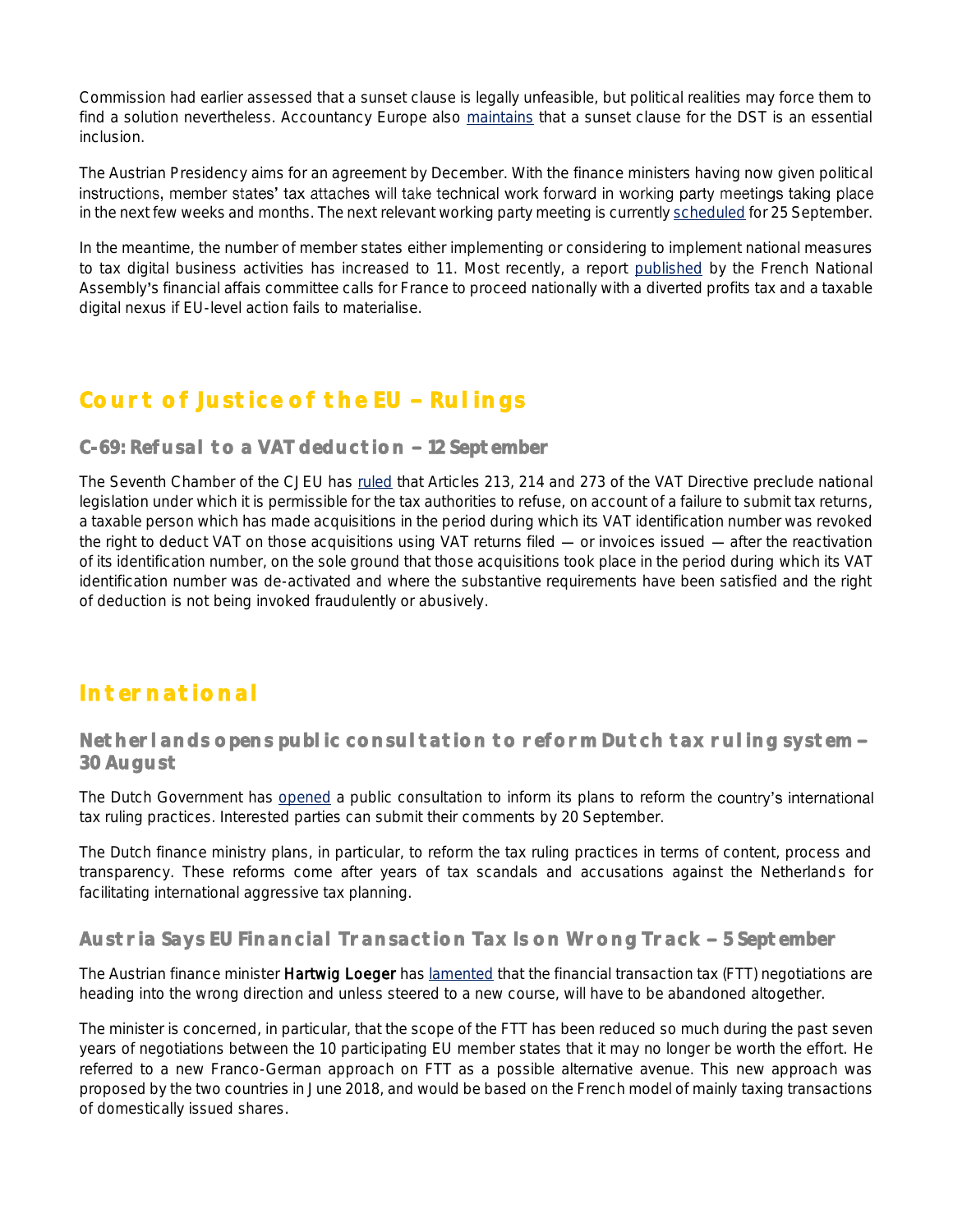Commission had earlier assessed that a sunset clause is legally unfeasible, but political realities may force them to find a solution nevertheless. Accountancy Europe also [maintains](https://www.accountancyeurope.eu/wp-content/uploads/180103-cover-letter-on-PC-on-digital-taxation-Accountancy-Europe-Commissioner-Pierre-Moscovici.pdf) that a sunset clause for the DST is an essential inclusion.

The Austrian Presidency aims for an agreement by December. With the finance ministers having now given political instructions, member states' tax attaches will take technical work forward in working party meetings taking place in the next few weeks and months. The next relevant working party meeting is currently [scheduled](http://data.consilium.europa.eu/doc/document/CM-4165-2018-INIT/en/pdf) for 25 September.

In the meantime, the number of member states either implementing or considering to implement national measures to tax digital business activities has increased to 11. Most recently, a report [published](https://www.law360.com/tax-authority/articles/1082412/lawmakers-want-french-digital-tax-if-no-eu-progress) by the French National Assembly's financial affais committee calls for France to proceed nationally with a diverted profits tax and a taxable digital nexus if EU-level action fails to materialise.

# **Court of Justice of the EU - Rulings**

#### C-69: Refusal to a VAT deduction - 12 September

The Seventh Chamber of the CJEU has [ruled](http://curia.europa.eu/juris/document/document.jsf;jsessionid=9ea7d2dc30d8d511ceebeca04d249b3e9acf4af035f8.e34KaxiLc3qMb40Rch0SaxyPaxb0?text=&docid=205607&pageIndex=0&doclang=EN&mode=req&dir=&occ=first&part=1&cid=498686) that Articles 213, 214 and 273 of the VAT Directive preclude national legislation under which it is permissible for the tax authorities to refuse, on account of a failure to submit tax returns, a taxable person which has made acquisitions in the period during which its VAT identification number was revoked the right to deduct VAT on those acquisitions using VAT returns filed  $-$  or invoices issued  $-$  after the reactivation of its identification number, on the sole ground that those acquisitions took place in the period during which its VAT identification number was de-activated and where the substantive requirements have been satisfied and the right of deduction is not being invoked fraudulently or abusively.

## **International**

#### **Netherlands opens public consultation to reform Dutch tax ruling system 30 August**

The Dutch Government has [opened](https://www.internetconsultatie.nl/rulingpraktijk) a public consultation to inform its plans to reform the country's international tax ruling practices. Interested parties can submit their comments by 20 September.

The Dutch finance ministry plans, in particular, to reform the tax ruling practices in terms of content, process and transparency. These reforms come after years of tax scandals and accusations against the Netherlands for facilitating international aggressive tax planning.

#### Austria Says EU Financial Transaction Tax Is on Wrong Track - 5 September

The Austrian finance minister Hartwig Loeger ha[s lamented](https://www.bloomberg.com/news/articles/2018-09-05/austria-says-europe-s-push-for-transaction-tax-is-on-wrong-track) that the financial transaction tax (FTT) negotiations are heading into the wrong direction and unless steered to a new course, will have to be abandoned altogether.

The minister is concerned, in particular, that the scope of the FTT has been reduced so much during the past seven years of negotiations between the 10 participating EU member states that it may no longer be worth the effort. He referred to a new Franco-German approach on FTT as a possible alternative avenue. This new approach was proposed by the two countries in June 2018, and would be based on the French model of mainly taxing transactions of domestically issued shares.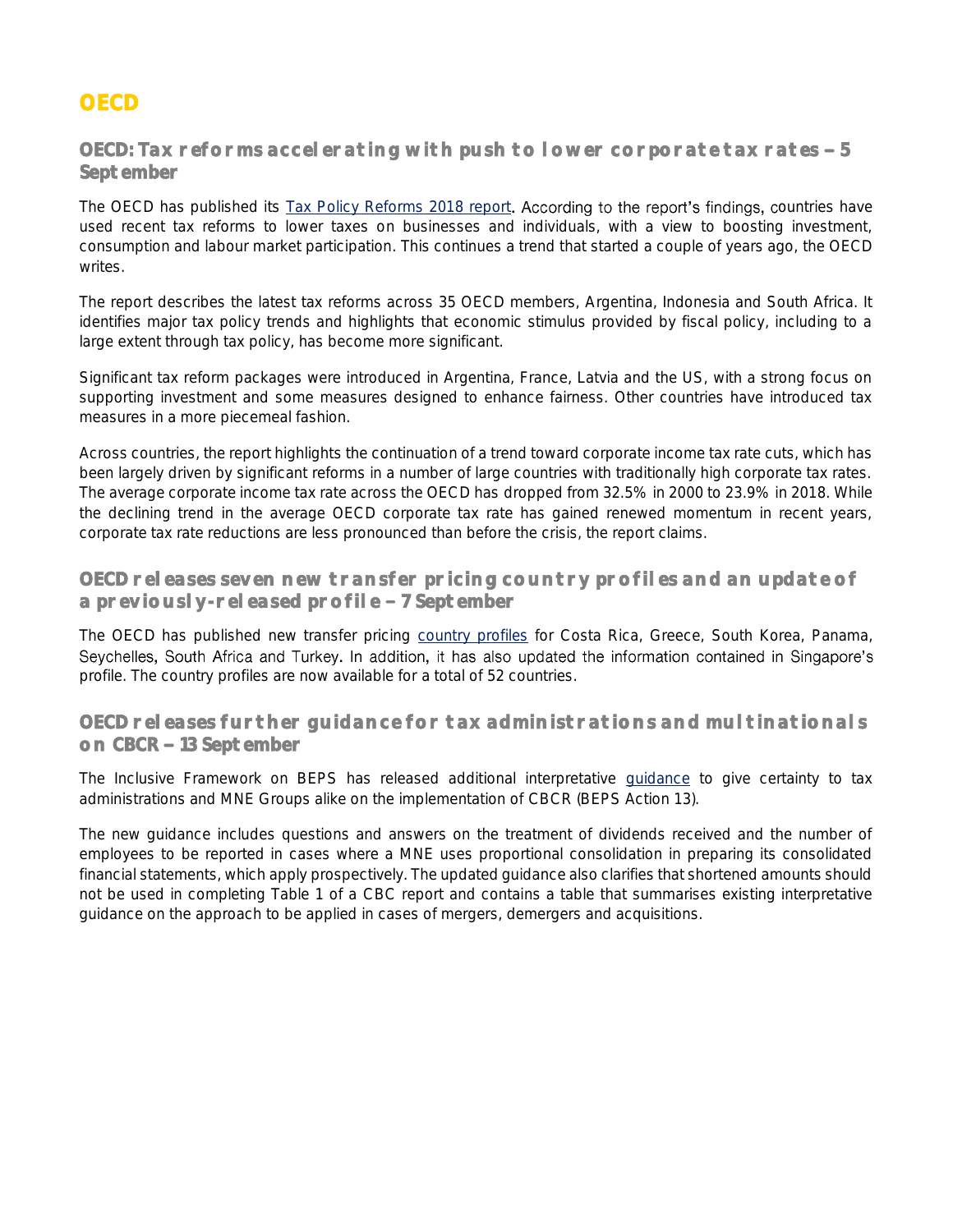## **OECD**

#### OECD: Tax reforms accelerating with push to lower corporate tax rates - 5 **September**

The OECD has published its [Tax Policy Reforms 2018 report](http://www.oecd.org/tax/tax-policy-reforms-26173433.htm). According to the report's findings, countries have used recent tax reforms to lower taxes on businesses and individuals, with a view to boosting investment, consumption and labour market participation. This continues a trend that started a couple of years ago, the OECD writes.

The report describes the latest tax reforms across 35 OECD members, Argentina, Indonesia and South Africa. It identifies major tax policy trends and highlights that economic stimulus provided by fiscal policy, including to a large extent through tax policy, has become more significant.

Significant tax reform packages were introduced in Argentina, France, Latvia and the US, with a strong focus on supporting investment and some measures designed to enhance fairness. Other countries have introduced tax measures in a more piecemeal fashion.

Across countries, the report highlights the continuation of a trend toward corporate income tax rate cuts, which has been largely driven by significant reforms in a number of large countries with traditionally high corporate tax rates. The average corporate income tax rate across the OECD has dropped from 32.5% in 2000 to 23.9% in 2018. While the declining trend in the average OECD corporate tax rate has gained renewed momentum in recent years, corporate tax rate reductions are less pronounced than before the crisis, the report claims.

#### **OECD releases seven new transfer pricing country profiles and an update of a previously-released profile 7 September**

The OECD has published new transfer pricing [country profiles](http://www.oecd.org/ctp/transfer-pricing/transfer-pricing-country-profiles.htm) for Costa Rica, Greece, South Korea, Panama, Seychelles, South Africa and Turkey. In addition, it has also updated the information contained in Singapore's profile. The country profiles are now available for a total of 52 countries.

#### **OECD releases further guidance for tax administrations and multinationals**  on CBCR - 13 September

The Inclusive Framework on BEPS has released additional interpretative **quidance** to give certainty to tax administrations and MNE Groups alike on the implementation of CBCR (BEPS Action 13).

The new guidance includes questions and answers on the treatment of dividends received and the number of employees to be reported in cases where a MNE uses proportional consolidation in preparing its consolidated financial statements, which apply prospectively. The updated guidance also clarifies that shortened amounts should not be used in completing Table 1 of a CBC report and contains a table that summarises existing interpretative guidance on the approach to be applied in cases of mergers, demergers and acquisitions.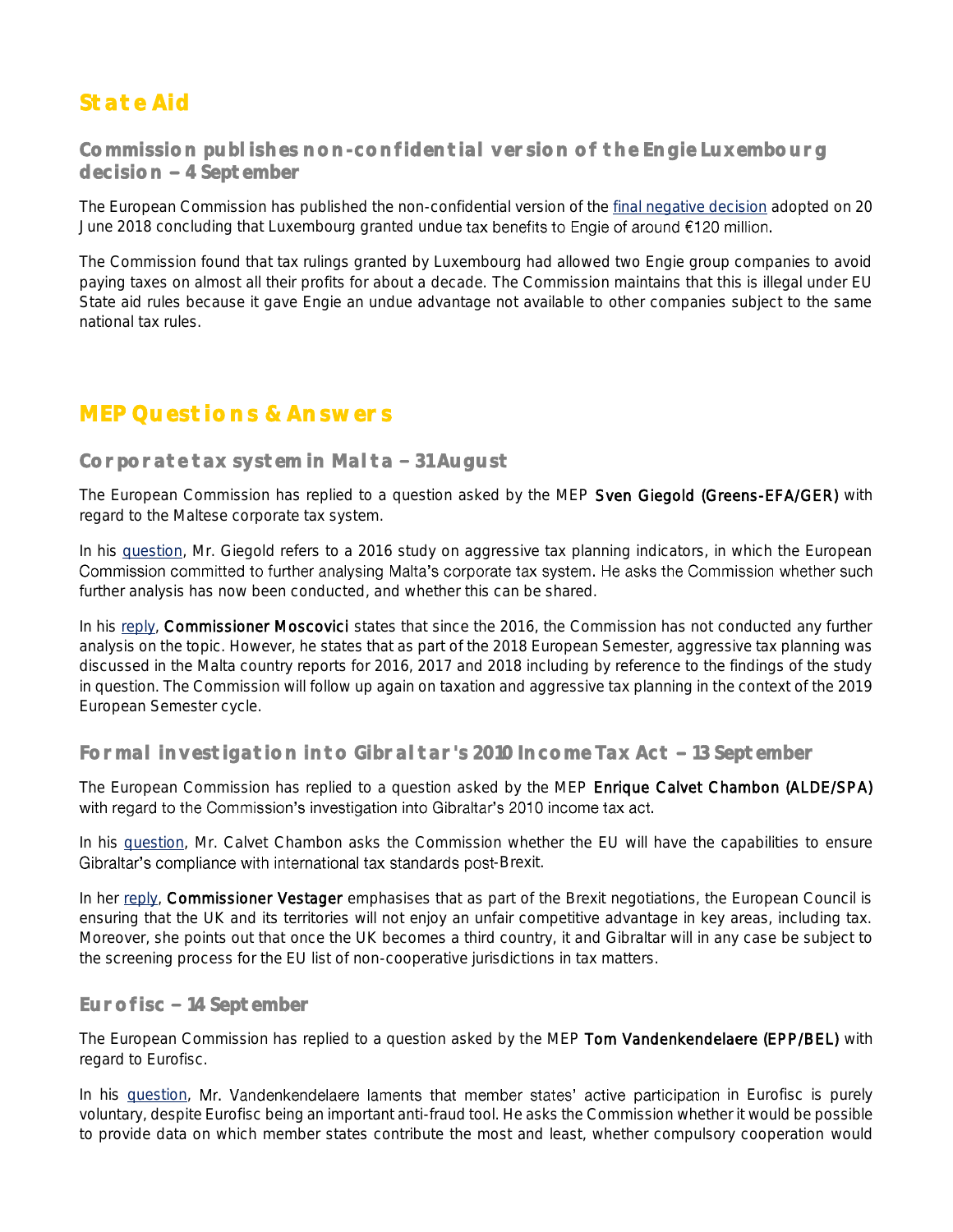# **State Aid**

**Commission publishes non-confidential version of the Engie Luxembourg decision 4 September** 

The European Commission has published the non-confidential version of the [final negative decision](http://ec.europa.eu/competition/state_aid/cases/266094/266094_2009354_269_2.pdf) adopted on 20 June 2018 concluding that Luxembourg granted undue tax benefits to Engie of around  $£120$  million.

The Commission found that tax rulings granted by Luxembourg had allowed two Engie group companies to avoid paying taxes on almost all their profits for about a decade. The Commission maintains that this is illegal under EU State aid rules because it gave Engie an undue advantage not available to other companies subject to the same national tax rules.

## **MEP Questions & Answers**

#### Corporate tax system in Malta - 31 August

The European Commission has replied to a question asked by the MEP Sven Giegold (Greens-EFA/GER) with regard to the Maltese corporate tax system.

In his [question,](http://www.europarl.europa.eu/sides/getDoc.do?type=WQ&reference=E-2018-003314&language=EN) Mr. Giegold refers to a 2016 study on aggressive tax planning indicators, in which the European Commission committed to further analysing Malta's corporate tax system. He asks the Commission whether such further analysis has now been conducted, and whether this can be shared.

In his [reply,](http://www.europarl.europa.eu/sides/getAllAnswers.do?reference=E-2018-003314&language=EN) Commissioner Moscovici states that since the 2016, the Commission has not conducted any further analysis on the topic. However, he states that as part of the 2018 European Semester, aggressive tax planning was discussed in the Malta country reports for 2016, 2017 and 2018 including by reference to the findings of the study in question. The Commission will follow up again on taxation and aggressive tax planning in the context of the 2019 European Semester cycle.

#### Formal investigation into Gibral tar's 2010 Income Tax Act - 13 September

The European Commission has replied to a question asked by the MEP Enrique Calvet Chambon (ALDE/SPA) with regard to the Commission's investigation into Gibraltar's 2010 income tax act.

In his [question,](http://www.europarl.europa.eu/sides/getDoc.do?type=WQ&reference=E-2018-003935&format=XML&language=EN) Mr. Calvet Chambon asks the Commission whether the EU will have the capabilities to ensure Gibraltar's compliance with international tax standards post-Brexit.

In her [reply,](http://www.europarl.europa.eu/sides/getAllAnswers.do?reference=E-2018-003935&language=EN) Commissioner Vestager emphasises that as part of the Brexit negotiations, the European Council is ensuring that the UK and its territories will not enjoy an unfair competitive advantage in key areas, including tax. Moreover, she points out that once the UK becomes a third country, it and Gibraltar will in any case be subject to the screening process for the EU list of non-cooperative jurisdictions in tax matters.

#### **Eurofisc 14 September**

The European Commission has replied to a question asked by the MEP Tom Vandenkendelaere (EPP/BEL) with regard to Eurofisc.

In his [question,](http://www.europarl.europa.eu/sides/getDoc.do?type=WQ&reference=E-2018-004052&language=EN) Mr. Vandenkendelaere laments that member states' active participation in Eurofisc is purely voluntary, despite Eurofisc being an important anti-fraud tool. He asks the Commission whether it would be possible to provide data on which member states contribute the most and least, whether compulsory cooperation would